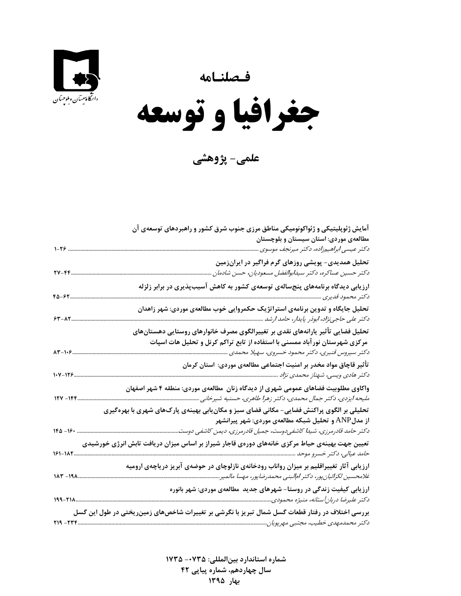



 $\overline{\phantom{a}}$ **جغرافيا و توسعه** 

**علمي- پژوهشي**

| آمایش ژئوپلیتیکی و ژئواکونومیکی مناطق مرزی جنوب شرق کشور و راهبردهای توسعهی آن                                                                                        |
|-----------------------------------------------------------------------------------------------------------------------------------------------------------------------|
| مطالعهی موردی: استان سیستان و بلوچستان                                                                                                                                |
| دکتر عیسی ابراهیمزاده، دکتر میرنجف موسوی<br>$1 - 79$                                                                                                                  |
| تحلیل همدیدی- پویشی روزهای گرم فراگیر در ایرانزمین                                                                                                                    |
| $YV - FF$<br>دکتر حسین عساکره، دکتر سیدابوالفضل مسعودیان، حسن شادمان                                                                                                  |
| ارزیابی دیدگاه برنامههای پنجسالهی توسعهی کشور به کاهش آسیبپذیری در برابر زلزله<br>$F\Delta - FY$<br>دكتر محمود قديرى                                                  |
| تحلیل جایگاه و تدوین برنامهی استراتژیک حکمروایی خوب مطالعهی موردی: شهر زاهدان<br>$54 - \lambda 7$                                                                     |
| تحلیل فضایی تأثیر یارانههای نقدی بر تغییرالگوی مصرف خانوارهای روستایی دهستانهای                                                                                       |
| مرکزی شهرستان نورآباد ممسنی با استفاده از تابع تراکم کرنل و تحلیل هات اسپات<br>$AT - 1.9$<br>دکتر سیروس قنبری، دکتر محمود خسروی، سهیلا محمدی                          |
| تأثیر قاچاق مواد مخدر بر امنیت اجتماعی مطالعهی موردی: استان کرمان<br>$1 - 115$                                                                                        |
| واکاوی مطلوبیت فضاهای عمومی شهری از دیدگاه زنان ًمطالعهی موردی: منطقه ۴ شهر اصفهان<br>$154 - 156$<br>ملیحه ایزدی، دکتر جمال محمدی، دکتر زهرا طاهری، حسنیه شیرخانی     |
| تحلیلی بر الگوی پراکنش فضایی- مکانی فضای سبز و مکان ِابی بهینهی پارکھای شهری با بهرهگیری<br>از مدلANP و تحلیل شبکه مطالعهی موردی: شهر پیرانشهر                        |
| $180 - 18$<br>دکتر حامد قادرمرزی، شیدا کاشفیدوست، جمیل قادرمرزی، دیمن کاشفی دوست                                                                                      |
| تعیین جهت بهینهی حیاط مرکزی خانههای دورهی قاجار شیراز بر اساس میزان دریافت تابش انرژی خورشیدی<br>161-182                                                              |
| ارزیابی آثار تغییراقلیم بر میزان رواناب رودخانهی نازلوچای در حوضهی آبریز دریاچهی ارومیه<br>$117 - 191$<br>غلامحسین لکزائیان پور، دکتر ام لبنی محمدرضاپور، مهسا مالمیر |
| ارزیابی کیفیت زندگی در روستا- شهرهای جدید ًمطالعهی موردی: شهر بانوره<br>دکتر علیرضا دربانآستانه، منیژه محمودی<br>199-218                                              |
| بررسی اختلاف در رفتار قطعات گسل شمال تبریز با نگرشی بر تغییرات شاخصهای زمینریختی در طول این گسل<br>۲۱۹ - ۲۲۴                                                          |

 **شماره استاندارد بينالمللي: -0735 <sup>1735</sup> سال چهاردهم، شماره پياپي 42 بهار<sup>1395</sup>**